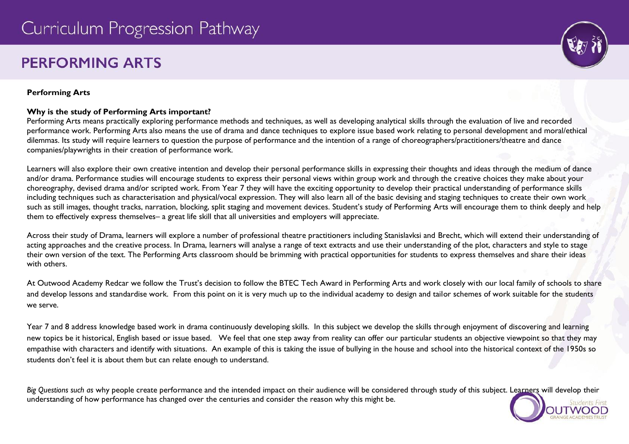# **PERFORMING ARTS**

# **Performing Arts**

## **Why is the study of Performing Arts important?**

Performing Arts means practically exploring performance methods and techniques, as well as developing analytical skills through the evaluation of live and recorded performance work. Performing Arts also means the use of drama and dance techniques to explore issue based work relating to personal development and moral/ethical dilemmas. Its study will require learners to question the purpose of performance and the intention of a range of choreographers/practitioners/theatre and dance companies/playwrights in their creation of performance work.

Learners will also explore their own creative intention and develop their personal performance skills in expressing their thoughts and ideas through the medium of dance and/or drama. Performance studies will encourage students to express their personal views within group work and through the creative choices they make about your choreography, devised drama and/or scripted work. From Year 7 they will have the exciting opportunity to develop their practical understanding of performance skills including techniques such as characterisation and physical/vocal expression. They will also learn all of the basic devising and staging techniques to create their own work such as still images, thought tracks, narration, blocking, split staging and movement devices. Student's study of Performing Arts will encourage them to think deeply and help them to effectively express themselves– a great life skill that all universities and employers will appreciate.

Across their study of Drama, learners will explore a number of professional theatre practitioners including Stanislavksi and Brecht, which will extend their understanding of acting approaches and the creative process. In Drama, learners will analyse a range of text extracts and use their understanding of the plot, characters and style to stage their own version of the text. The Performing Arts classroom should be brimming with practical opportunities for students to express themselves and share their ideas with others.

At Outwood Academy Redcar we follow the Trust's decision to follow the BTEC Tech Award in Performing Arts and work closely with our local family of schools to share and develop lessons and standardise work. From this point on it is very much up to the individual academy to design and tailor schemes of work suitable for the students we serve.

Year 7 and 8 address knowledge based work in drama continuously developing skills. In this subject we develop the skills through enjoyment of discovering and learning new topics be it historical, English based or issue based. We feel that one step away from reality can offer our particular students an objective viewpoint so that they may empathise with characters and identify with situations. An example of this is taking the issue of bullying in the house and school into the historical context of the 1950s so students don't feel it is about them but can relate enough to understand.

*Big Questions such as* why people create performance and the intended impact on their audience will be considered through study of this subject. Learners will develop their understanding of how performance has changed over the centuries and consider the reason why this might be.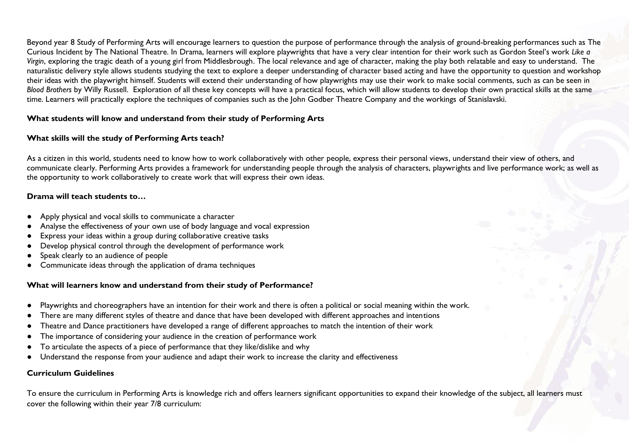Beyond year 8 Study of Performing Arts will encourage learners to question the purpose of performance through the analysis of ground-breaking performances such as The Curious Incident by The National Theatre. In Drama, learners will explore playwrights that have a very clear intention for their work such as Gordon Steel's work *Like a Virgin*, exploring the tragic death of a young girl from Middlesbrough. The local relevance and age of character, making the play both relatable and easy to understand. The naturalistic delivery style allows students studying the text to explore a deeper understanding of character based acting and have the opportunity to question and workshop their ideas with the playwright himself. Students will extend their understanding of how playwrights may use their work to make social comments, such as can be seen in *Blood Brothers* by Willy Russell. Exploration of all these key concepts will have a practical focus, which will allow students to develop their own practical skills at the same time. Learners will practically explore the techniques of companies such as the John Godber Theatre Company and the workings of Stanislavski.

### **What students will know and understand from their study of Performing Arts**

## **What skills will the study of Performing Arts teach?**

As a citizen in this world, students need to know how to work collaboratively with other people, express their personal views, understand their view of others, and communicate clearly. Performing Arts provides a framework for understanding people through the analysis of characters, playwrights and live performance work; as well as the opportunity to work collaboratively to create work that will express their own ideas.

### **Drama will teach students to…**

- Apply physical and vocal skills to communicate a character
- Analyse the effectiveness of your own use of body language and vocal expression
- Express your ideas within a group during collaborative creative tasks
- Develop physical control through the development of performance work
- Speak clearly to an audience of people
- Communicate ideas through the application of drama techniques

#### **What will learners know and understand from their study of Performance?**

- Playwrights and choreographers have an intention for their work and there is often a political or social meaning within the work.
- There are many different styles of theatre and dance that have been developed with different approaches and intentions
- Theatre and Dance practitioners have developed a range of different approaches to match the intention of their work
- The importance of considering your audience in the creation of performance work
- To articulate the aspects of a piece of performance that they like/dislike and why
- Understand the response from your audience and adapt their work to increase the clarity and effectiveness

#### **Curriculum Guidelines**

To ensure the curriculum in Performing Arts is knowledge rich and offers learners significant opportunities to expand their knowledge of the subject, all learners must cover the following within their year 7/8 curriculum: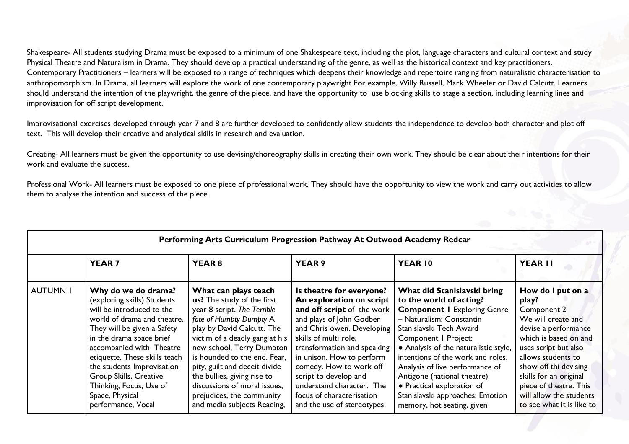Shakespeare- All students studying Drama must be exposed to a minimum of one Shakespeare text, including the plot, language characters and cultural context and study Physical Theatre and Naturalism in Drama. They should develop a practical understanding of the genre, as well as the historical context and key practitioners. Contemporary Practitioners – learners will be exposed to a range of techniques which deepens their knowledge and repertoire ranging from naturalistic characterisation to anthropomorphism. In Drama, all learners will explore the work of one contemporary playwright For example, Willy Russell, Mark Wheeler or David Calcutt. Learners should understand the intention of the playwright, the genre of the piece, and have the opportunity to use blocking skills to stage a section, including learning lines and improvisation for off script development.

Improvisational exercises developed through year 7 and 8 are further developed to confidently allow students the independence to develop both character and plot off text. This will develop their creative and analytical skills in research and evaluation.

Creating- All learners must be given the opportunity to use devising/choreography skills in creating their own work. They should be clear about their intentions for their work and evaluate the success.

Professional Work- All learners must be exposed to one piece of professional work. They should have the opportunity to view the work and carry out activities to allow them to analyse the intention and success of the piece.

| Performing Arts Curriculum Progression Pathway At Outwood Academy Redcar |                                                                                                                                                                                                                                                                                                                                                                    |                                                                                                                                                                                                                                                                                                                                                                                                       |                                                                                                                                                                                                                                                                                                                                                                               |                                                                                                                                                                                                                                                                                                                                                                                                                             |                                                                                                                                                                                                                                                                                                     |  |
|--------------------------------------------------------------------------|--------------------------------------------------------------------------------------------------------------------------------------------------------------------------------------------------------------------------------------------------------------------------------------------------------------------------------------------------------------------|-------------------------------------------------------------------------------------------------------------------------------------------------------------------------------------------------------------------------------------------------------------------------------------------------------------------------------------------------------------------------------------------------------|-------------------------------------------------------------------------------------------------------------------------------------------------------------------------------------------------------------------------------------------------------------------------------------------------------------------------------------------------------------------------------|-----------------------------------------------------------------------------------------------------------------------------------------------------------------------------------------------------------------------------------------------------------------------------------------------------------------------------------------------------------------------------------------------------------------------------|-----------------------------------------------------------------------------------------------------------------------------------------------------------------------------------------------------------------------------------------------------------------------------------------------------|--|
|                                                                          | <b>YEAR7</b>                                                                                                                                                                                                                                                                                                                                                       | <b>YEAR 8</b>                                                                                                                                                                                                                                                                                                                                                                                         | <b>YEAR 9</b>                                                                                                                                                                                                                                                                                                                                                                 | YEAR 10                                                                                                                                                                                                                                                                                                                                                                                                                     | YEAR II                                                                                                                                                                                                                                                                                             |  |
| <b>AUTUMN I</b>                                                          | Why do we do drama?<br>(exploring skills) Students<br>will be introduced to the<br>world of drama and theatre.<br>They will be given a Safety<br>in the drama space brief<br>accompanied with Theatre<br>etiquette. These skills teach<br>the students Improvisation<br>Group Skills, Creative<br>Thinking, Focus, Use of<br>Space, Physical<br>performance, Vocal | What can plays teach<br>us? The study of the first<br>year 8 script. The Terrible<br>fate of Humpty Dumpty A<br>play by David Calcutt. The<br>victim of a deadly gang at his<br>new school, Terry Dumpton<br>is hounded to the end. Fear,<br>pity, guilt and deceit divide<br>the bullies, giving rise to<br>discussions of moral issues,<br>prejudices, the community<br>and media subjects Reading, | Is theatre for everyone?<br>An exploration on script<br>and off script of the work<br>and plays of John Godber<br>and Chris owen. Developing<br>skills of multi role,<br>transformation and speaking<br>in unison. How to perform<br>comedy. How to work off<br>script to develop and<br>understand character. The<br>focus of characterisation<br>and the use of stereotypes | What did Stanislavski bring<br>to the world of acting?<br><b>Component I Exploring Genre</b><br>- Naturalism: Constantin<br>Stanislavski Tech Award<br>Component   Project:<br>• Analysis of the naturalistic style,<br>intentions of the work and roles.<br>Analysis of live performance of<br>Antigone (national theatre)<br>• Practical exploration of<br>Stanislavski approaches: Emotion<br>memory, hot seating, given | How do I put on a<br>play?<br>Component 2<br>We will create and<br>devise a performance<br>which is based on and<br>uses script but also<br>allows students to<br>show off thi devising<br>skills for an original<br>piece of theatre. This<br>will allow the students<br>to see what it is like to |  |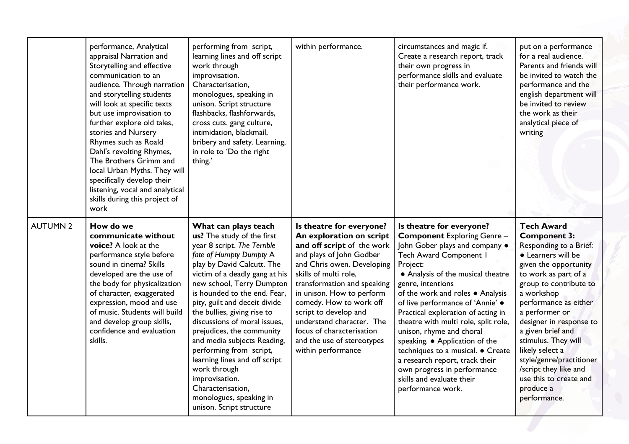|                 | performance, Analytical<br>appraisal Narration and<br>Storytelling and effective<br>communication to an<br>audience. Through narration<br>and storytelling students<br>will look at specific texts<br>but use improvisation to<br>further explore old tales,<br>stories and Nursery<br>Rhymes such as Roald<br>Dahl's revolting Rhymes,<br>The Brothers Grimm and<br>local Urban Myths. They will<br>specifically develop their<br>listening, vocal and analytical<br>skills during this project of<br>work | performing from script,<br>learning lines and off script<br>work through<br>improvisation.<br>Characterisation,<br>monologues, speaking in<br>unison. Script structure<br>flashbacks, flashforwards,<br>cross cuts. gang culture,<br>intimidation, blackmail,<br>bribery and safety. Learning,<br>in role to 'Do the right<br>thing.'                                                                                                                                                                                                                                           | within performance.                                                                                                                                                                                                                                                                                                                                                                                 | circumstances and magic if.<br>Create a research report, track<br>their own progress in<br>performance skills and evaluate<br>their performance work.                                                                                                                                                                                                                                                                                                                                                                                                                              | put on a performance<br>for a real audience.<br>Parents and friends will<br>be invited to watch the<br>performance and the<br>english department will<br>be invited to review<br>the work as their<br>analytical piece of<br>writing                                                                                                                                                                                               |
|-----------------|-------------------------------------------------------------------------------------------------------------------------------------------------------------------------------------------------------------------------------------------------------------------------------------------------------------------------------------------------------------------------------------------------------------------------------------------------------------------------------------------------------------|---------------------------------------------------------------------------------------------------------------------------------------------------------------------------------------------------------------------------------------------------------------------------------------------------------------------------------------------------------------------------------------------------------------------------------------------------------------------------------------------------------------------------------------------------------------------------------|-----------------------------------------------------------------------------------------------------------------------------------------------------------------------------------------------------------------------------------------------------------------------------------------------------------------------------------------------------------------------------------------------------|------------------------------------------------------------------------------------------------------------------------------------------------------------------------------------------------------------------------------------------------------------------------------------------------------------------------------------------------------------------------------------------------------------------------------------------------------------------------------------------------------------------------------------------------------------------------------------|------------------------------------------------------------------------------------------------------------------------------------------------------------------------------------------------------------------------------------------------------------------------------------------------------------------------------------------------------------------------------------------------------------------------------------|
| <b>AUTUMN 2</b> | How do we<br>communicate without<br>voice? A look at the<br>performance style before<br>sound in cinema? Skills<br>developed are the use of<br>the body for physicalization<br>of character, exaggerated<br>expression, mood and use<br>of music. Students will build<br>and develop group skills,<br>confidence and evaluation<br>skills.                                                                                                                                                                  | What can plays teach<br>us? The study of the first<br>year 8 script. The Terrible<br>fate of Humpty Dumpty A<br>play by David Calcutt. The<br>victim of a deadly gang at his<br>new school, Terry Dumpton<br>is hounded to the end. Fear,<br>pity, guilt and deceit divide<br>the bullies, giving rise to<br>discussions of moral issues.<br>prejudices, the community<br>and media subjects Reading,<br>performing from script,<br>learning lines and off script<br>work through<br>improvisation.<br>Characterisation,<br>monologues, speaking in<br>unison. Script structure | Is theatre for everyone?<br>An exploration on script<br>and off script of the work<br>and plays of John Godber<br>and Chris owen. Developing<br>skills of multi role,<br>transformation and speaking<br>in unison. How to perform<br>comedy. How to work off<br>script to develop and<br>understand character. The<br>focus of characterisation<br>and the use of stereotypes<br>within performance | Is theatre for everyone?<br><b>Component Exploring Genre-</b><br>John Gober plays and company .<br><b>Tech Award Component I</b><br>Project:<br>• Analysis of the musical theatre<br>genre, intentions<br>of the work and roles . Analysis<br>of live performance of 'Annie' .<br>Practical exploration of acting in<br>theatre with multi role, split role,<br>unison, rhyme and choral<br>speaking. • Application of the<br>techniques to a musical. • Create<br>a research report, track their<br>own progress in performance<br>skills and evaluate their<br>performance work. | <b>Tech Award</b><br><b>Component 3:</b><br>Responding to a Brief:<br>• Learners will be<br>given the opportunity<br>to work as part of a<br>group to contribute to<br>a workshop<br>performance as either<br>a performer or<br>designer in response to<br>a given brief and<br>stimulus. They will<br>likely select a<br>style/genre/practitioner<br>/script they like and<br>use this to create and<br>produce a<br>performance. |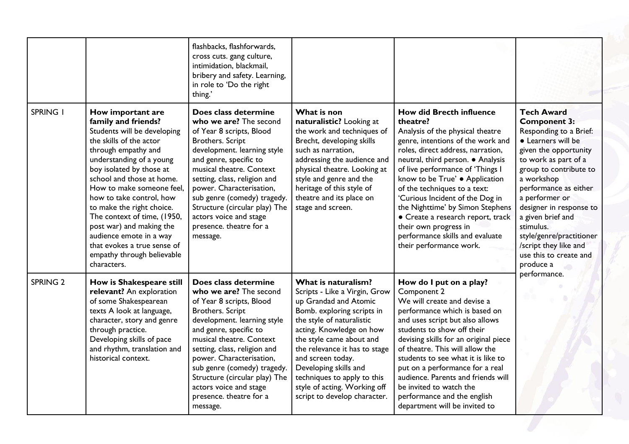|                 |                                                                                                                                                                                                                                                                                                                                                                                                                                                                        | flashbacks, flashforwards,<br>cross cuts. gang culture,<br>intimidation, blackmail,<br>bribery and safety. Learning,<br>in role to 'Do the right<br>thing.'                                                                                                                                                                                                                             |                                                                                                                                                                                                                                                                                                                                                                                |                                                                                                                                                                                                                                                                                                                                                                                                                                                                                                         |                                                                                                                                                                                                                                                                                                                                                                                                       |
|-----------------|------------------------------------------------------------------------------------------------------------------------------------------------------------------------------------------------------------------------------------------------------------------------------------------------------------------------------------------------------------------------------------------------------------------------------------------------------------------------|-----------------------------------------------------------------------------------------------------------------------------------------------------------------------------------------------------------------------------------------------------------------------------------------------------------------------------------------------------------------------------------------|--------------------------------------------------------------------------------------------------------------------------------------------------------------------------------------------------------------------------------------------------------------------------------------------------------------------------------------------------------------------------------|---------------------------------------------------------------------------------------------------------------------------------------------------------------------------------------------------------------------------------------------------------------------------------------------------------------------------------------------------------------------------------------------------------------------------------------------------------------------------------------------------------|-------------------------------------------------------------------------------------------------------------------------------------------------------------------------------------------------------------------------------------------------------------------------------------------------------------------------------------------------------------------------------------------------------|
| <b>SPRING I</b> | How important are<br>family and friends?<br>Students will be developing<br>the skills of the actor<br>through empathy and<br>understanding of a young<br>boy isolated by those at<br>school and those at home.<br>How to make someone feel,<br>how to take control, how<br>to make the right choice.<br>The context of time, (1950,<br>post war) and making the<br>audience emote in a way<br>that evokes a true sense of<br>empathy through believable<br>characters. | Does class determine<br>who we are? The second<br>of Year 8 scripts, Blood<br>Brothers. Script<br>development. learning style<br>and genre, specific to<br>musical theatre. Context<br>setting, class, religion and<br>power. Characterisation,<br>sub genre (comedy) tragedy.<br>Structure (circular play) The<br>actors voice and stage<br>presence. theatre for a<br>message.        | What is non<br>naturalistic? Looking at<br>the work and techniques of<br>Brecht, developing skills<br>such as narration,<br>addressing the audience and<br>physical theatre. Looking at<br>style and genre and the<br>heritage of this style of<br>theatre and its place on<br>stage and screen.                                                                               | <b>How did Brecth influence</b><br>theatre?<br>Analysis of the physical theatre<br>genre, intentions of the work and<br>roles, direct address, narration,<br>neutral, third person. • Analysis<br>of live performance of 'Things I<br>know to be True' . Application<br>of the techniques to a text:<br>'Curious Incident of the Dog in<br>the Nighttime' by Simon Stephens<br>• Create a research report, track<br>their own progress in<br>performance skills and evaluate<br>their performance work. | <b>Tech Award</b><br><b>Component 3:</b><br>Responding to a Brief:<br>• Learners will be<br>given the opportunity<br>to work as part of a<br>group to contribute to<br>a workshop<br>performance as either<br>a performer or<br>designer in response to<br>a given brief and<br>stimulus.<br>style/genre/practitioner<br>/script they like and<br>use this to create and<br>produce a<br>performance. |
| <b>SPRING 2</b> | How is Shakespeare still<br>relevant? An exploration<br>of some Shakespearean<br>texts A look at language,<br>character, story and genre<br>through practice.<br>Developing skills of pace<br>and rhythm, translation and<br>historical context.                                                                                                                                                                                                                       | Does class determine<br>who we are? The second<br>of Year 8 scripts, Blood<br><b>Brothers. Script</b><br>development. learning style<br>and genre, specific to<br>musical theatre. Context<br>setting, class, religion and<br>power. Characterisation,<br>sub genre (comedy) tragedy.<br>Structure (circular play) The<br>actors voice and stage<br>presence. theatre for a<br>message. | What is naturalism?<br>Scripts - Like a Virgin, Grow<br>up Grandad and Atomic<br>Bomb. exploring scripts in<br>the style of naturalistic<br>acting. Knowledge on how<br>the style came about and<br>the relevance it has to stage<br>and screen today.<br>Developing skills and<br>techniques to apply to this<br>style of acting. Working off<br>script to develop character. | How do I put on a play?<br>Component 2<br>We will create and devise a<br>performance which is based on<br>and uses script but also allows<br>students to show off their<br>devising skills for an original piece<br>of theatre. This will allow the<br>students to see what it is like to<br>put on a performance for a real<br>audience. Parents and friends will<br>be invited to watch the<br>performance and the english<br>department will be invited to                                           |                                                                                                                                                                                                                                                                                                                                                                                                       |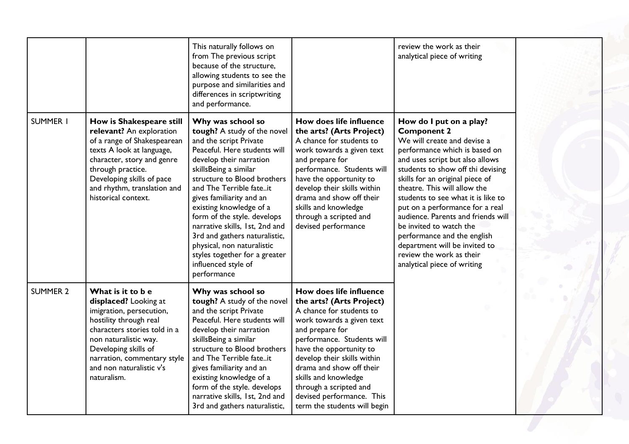|                 |                                                                                                                                                                                                                                                             | This naturally follows on<br>from The previous script<br>because of the structure,<br>allowing students to see the<br>purpose and similarities and<br>differences in scriptwriting<br>and performance.                                                                                                                                                                                                                                                                                 |                                                                                                                                                                                                                                                                                                                                                                    | review the work as their<br>analytical piece of writing                                                                                                                                                                                                                                                                                                                                                                                                                                                                       |
|-----------------|-------------------------------------------------------------------------------------------------------------------------------------------------------------------------------------------------------------------------------------------------------------|----------------------------------------------------------------------------------------------------------------------------------------------------------------------------------------------------------------------------------------------------------------------------------------------------------------------------------------------------------------------------------------------------------------------------------------------------------------------------------------|--------------------------------------------------------------------------------------------------------------------------------------------------------------------------------------------------------------------------------------------------------------------------------------------------------------------------------------------------------------------|-------------------------------------------------------------------------------------------------------------------------------------------------------------------------------------------------------------------------------------------------------------------------------------------------------------------------------------------------------------------------------------------------------------------------------------------------------------------------------------------------------------------------------|
| <b>SUMMER I</b> | How is Shakespeare still<br>relevant? An exploration<br>of a range of Shakespearean<br>texts A look at language,<br>character, story and genre<br>through practice.<br>Developing skills of pace<br>and rhythm, translation and<br>historical context.      | Why was school so<br>tough? A study of the novel<br>and the script Private<br>Peaceful. Here students will<br>develop their narration<br>skillsBeing a similar<br>structure to Blood brothers<br>and The Terrible fateit<br>gives familiarity and an<br>existing knowledge of a<br>form of the style. develops<br>narrative skills, 1st, 2nd and<br>3rd and gathers naturalistic,<br>physical, non naturalistic<br>styles together for a greater<br>influenced style of<br>performance | How does life influence<br>the arts? (Arts Project)<br>A chance for students to<br>work towards a given text<br>and prepare for<br>performance. Students will<br>have the opportunity to<br>develop their skills within<br>drama and show off their<br>skills and knowledge<br>through a scripted and<br>devised performance                                       | How do I put on a play?<br><b>Component 2</b><br>We will create and devise a<br>performance which is based on<br>and uses script but also allows<br>students to show off thi devising<br>skills for an original piece of<br>theatre. This will allow the<br>students to see what it is like to<br>put on a performance for a real<br>audience. Parents and friends will<br>be invited to watch the<br>performance and the english<br>department will be invited to<br>review the work as their<br>analytical piece of writing |
| <b>SUMMER 2</b> | What is it to b e<br>displaced? Looking at<br>imigration, persecution,<br>hostility through real<br>characters stories told in a<br>non naturalistic way.<br>Developing skills of<br>narration, commentary style<br>and non naturalistic v's<br>naturalism. | Why was school so<br>tough? A study of the novel<br>and the script Private<br>Peaceful. Here students will<br>develop their narration<br>skillsBeing a similar<br>structure to Blood brothers<br>and The Terrible fateit<br>gives familiarity and an<br>existing knowledge of a<br>form of the style. develops<br>narrative skills, 1st, 2nd and<br>3rd and gathers naturalistic,                                                                                                      | How does life influence<br>the arts? (Arts Project)<br>A chance for students to<br>work towards a given text<br>and prepare for<br>performance. Students will<br>have the opportunity to<br>develop their skills within<br>drama and show off their<br>skills and knowledge<br>through a scripted and<br>devised performance. This<br>term the students will begin |                                                                                                                                                                                                                                                                                                                                                                                                                                                                                                                               |